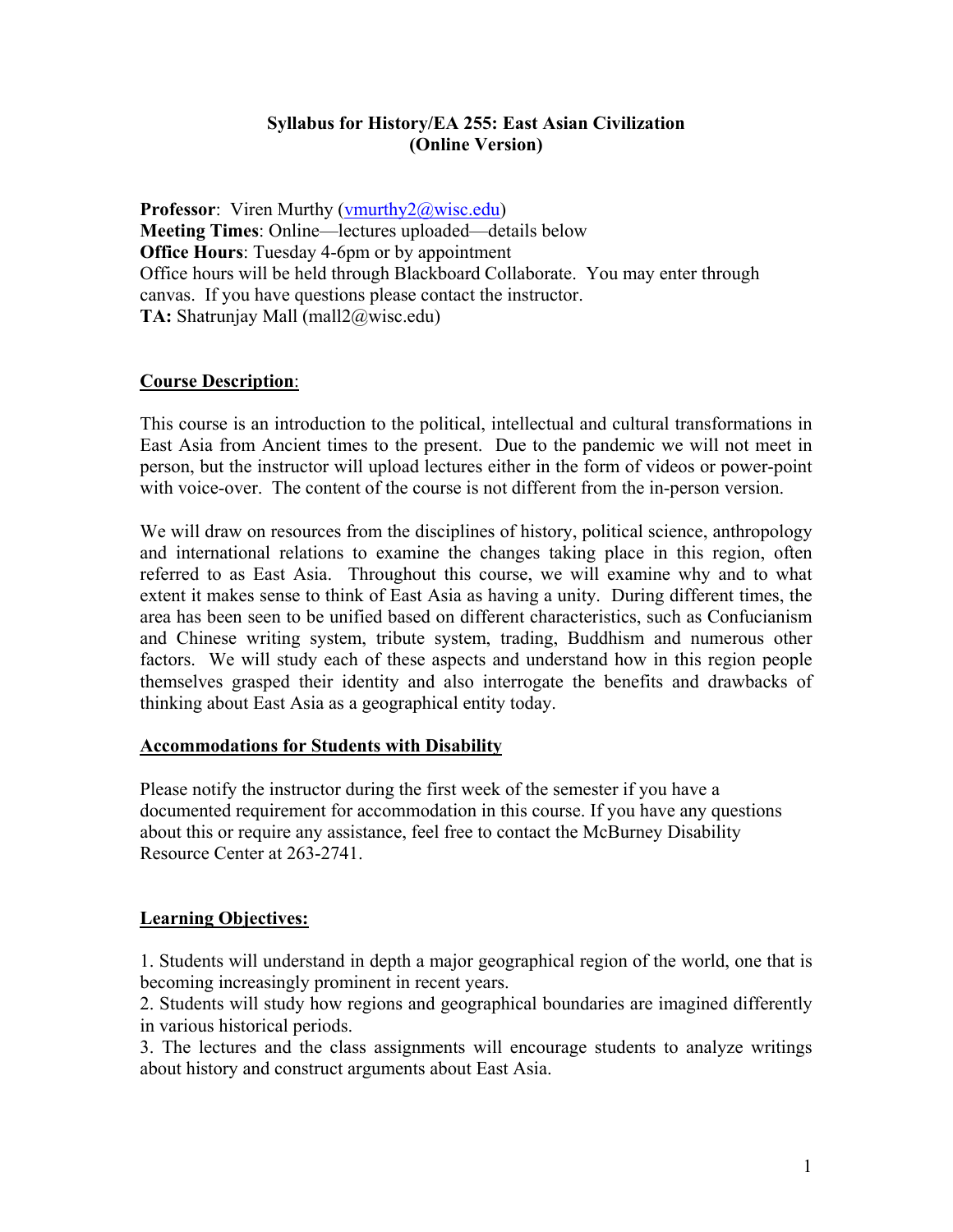## **Syllabus for History/EA 255: East Asian Civilization (Online Version)**

**Professor**: Viren Murthy (vmurthy2@wisc.edu) **Meeting Times**: Online—lectures uploaded—details below **Office Hours**: Tuesday 4-6pm or by appointment Office hours will be held through Blackboard Collaborate. You may enter through canvas. If you have questions please contact the instructor. **TA:** Shatrunjay Mall (mall2@wisc.edu)

## **Course Description**:

This course is an introduction to the political, intellectual and cultural transformations in East Asia from Ancient times to the present. Due to the pandemic we will not meet in person, but the instructor will upload lectures either in the form of videos or power-point with voice-over. The content of the course is not different from the in-person version.

We will draw on resources from the disciplines of history, political science, anthropology and international relations to examine the changes taking place in this region, often referred to as East Asia. Throughout this course, we will examine why and to what extent it makes sense to think of East Asia as having a unity. During different times, the area has been seen to be unified based on different characteristics, such as Confucianism and Chinese writing system, tribute system, trading, Buddhism and numerous other factors. We will study each of these aspects and understand how in this region people themselves grasped their identity and also interrogate the benefits and drawbacks of thinking about East Asia as a geographical entity today.

### **Accommodations for Students with Disability**

Please notify the instructor during the first week of the semester if you have a documented requirement for accommodation in this course. If you have any questions about this or require any assistance, feel free to contact the McBurney Disability Resource Center at 263-2741.

### **Learning Objectives:**

1. Students will understand in depth a major geographical region of the world, one that is becoming increasingly prominent in recent years.

2. Students will study how regions and geographical boundaries are imagined differently in various historical periods.

3. The lectures and the class assignments will encourage students to analyze writings about history and construct arguments about East Asia.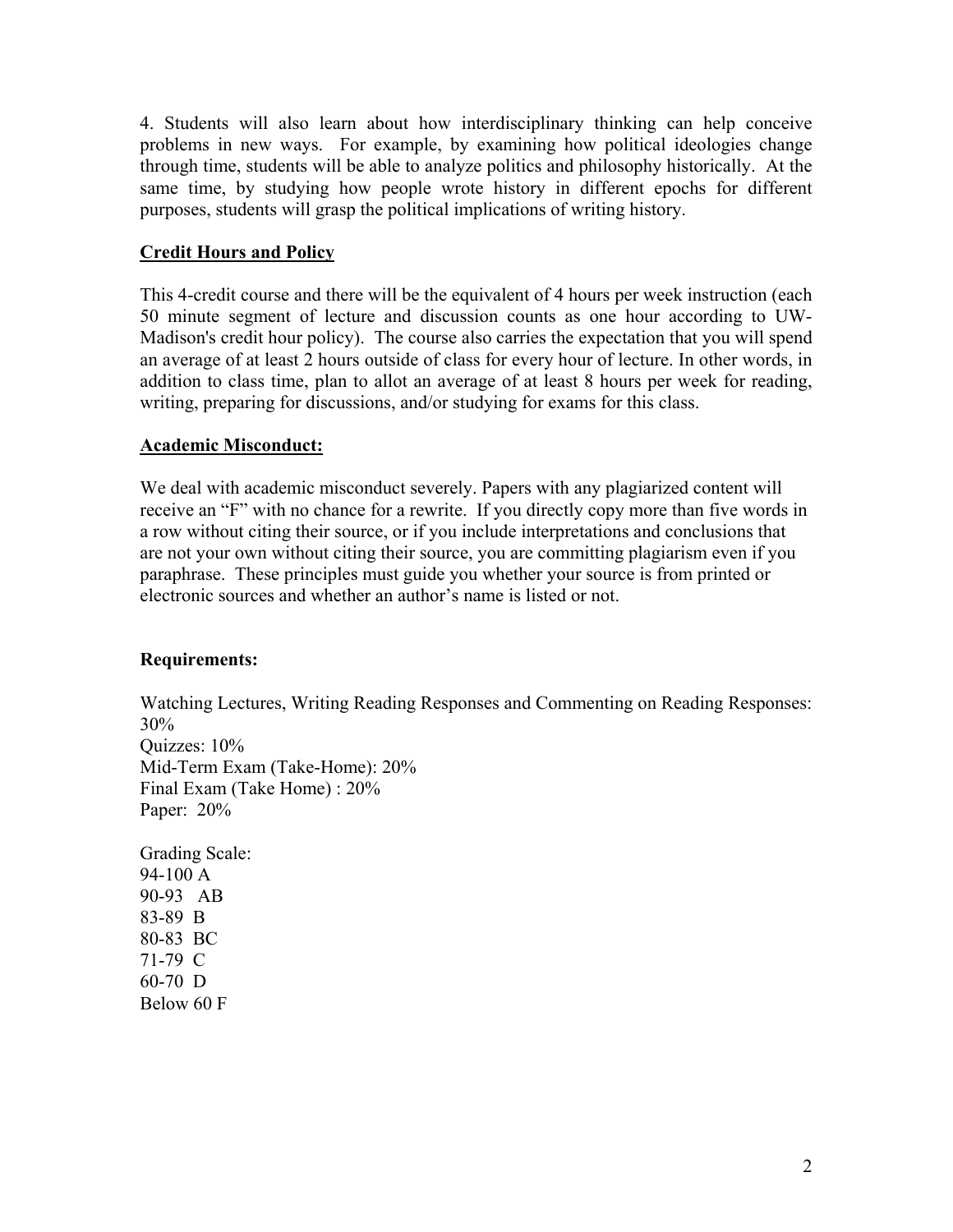4. Students will also learn about how interdisciplinary thinking can help conceive problems in new ways. For example, by examining how political ideologies change through time, students will be able to analyze politics and philosophy historically. At the same time, by studying how people wrote history in different epochs for different purposes, students will grasp the political implications of writing history.

# **Credit Hours and Policy**

This 4-credit course and there will be the equivalent of 4 hours per week instruction (each 50 minute segment of lecture and discussion counts as one hour according to UW-Madison's credit hour policy). The course also carries the expectation that you will spend an average of at least 2 hours outside of class for every hour of lecture. In other words, in addition to class time, plan to allot an average of at least 8 hours per week for reading, writing, preparing for discussions, and/or studying for exams for this class.

## **Academic Misconduct:**

We deal with academic misconduct severely. Papers with any plagiarized content will receive an "F" with no chance for a rewrite. If you directly copy more than five words in a row without citing their source, or if you include interpretations and conclusions that are not your own without citing their source, you are committing plagiarism even if you paraphrase. These principles must guide you whether your source is from printed or electronic sources and whether an author's name is listed or not.

## **Requirements:**

Watching Lectures, Writing Reading Responses and Commenting on Reading Responses: 30% Quizzes: 10% Mid-Term Exam (Take-Home): 20% Final Exam (Take Home) : 20% Paper: 20% Grading Scale: 94-100 A

90-93 AB 83-89 B 80-83 BC 71-79 C 60-70 D Below 60 F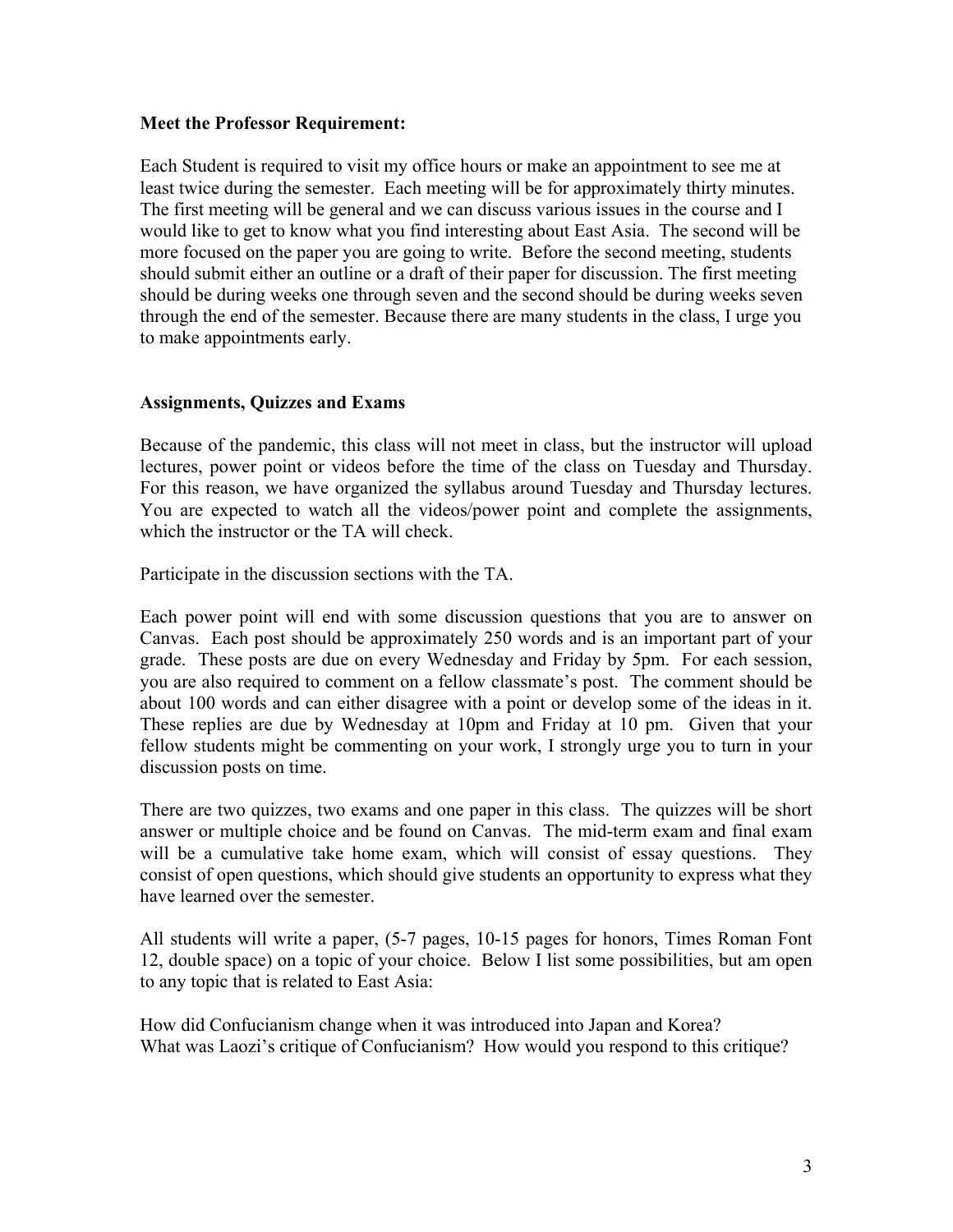#### **Meet the Professor Requirement:**

Each Student is required to visit my office hours or make an appointment to see me at least twice during the semester. Each meeting will be for approximately thirty minutes. The first meeting will be general and we can discuss various issues in the course and I would like to get to know what you find interesting about East Asia. The second will be more focused on the paper you are going to write. Before the second meeting, students should submit either an outline or a draft of their paper for discussion. The first meeting should be during weeks one through seven and the second should be during weeks seven through the end of the semester. Because there are many students in the class, I urge you to make appointments early.

### **Assignments, Quizzes and Exams**

Because of the pandemic, this class will not meet in class, but the instructor will upload lectures, power point or videos before the time of the class on Tuesday and Thursday. For this reason, we have organized the syllabus around Tuesday and Thursday lectures. You are expected to watch all the videos/power point and complete the assignments, which the instructor or the TA will check.

Participate in the discussion sections with the TA.

Each power point will end with some discussion questions that you are to answer on Canvas. Each post should be approximately 250 words and is an important part of your grade. These posts are due on every Wednesday and Friday by 5pm. For each session, you are also required to comment on a fellow classmate's post. The comment should be about 100 words and can either disagree with a point or develop some of the ideas in it. These replies are due by Wednesday at 10pm and Friday at 10 pm. Given that your fellow students might be commenting on your work, I strongly urge you to turn in your discussion posts on time.

There are two quizzes, two exams and one paper in this class. The quizzes will be short answer or multiple choice and be found on Canvas. The mid-term exam and final exam will be a cumulative take home exam, which will consist of essay questions. They consist of open questions, which should give students an opportunity to express what they have learned over the semester.

All students will write a paper, (5-7 pages, 10-15 pages for honors, Times Roman Font 12, double space) on a topic of your choice. Below I list some possibilities, but am open to any topic that is related to East Asia:

How did Confucianism change when it was introduced into Japan and Korea? What was Laozi's critique of Confucianism? How would you respond to this critique?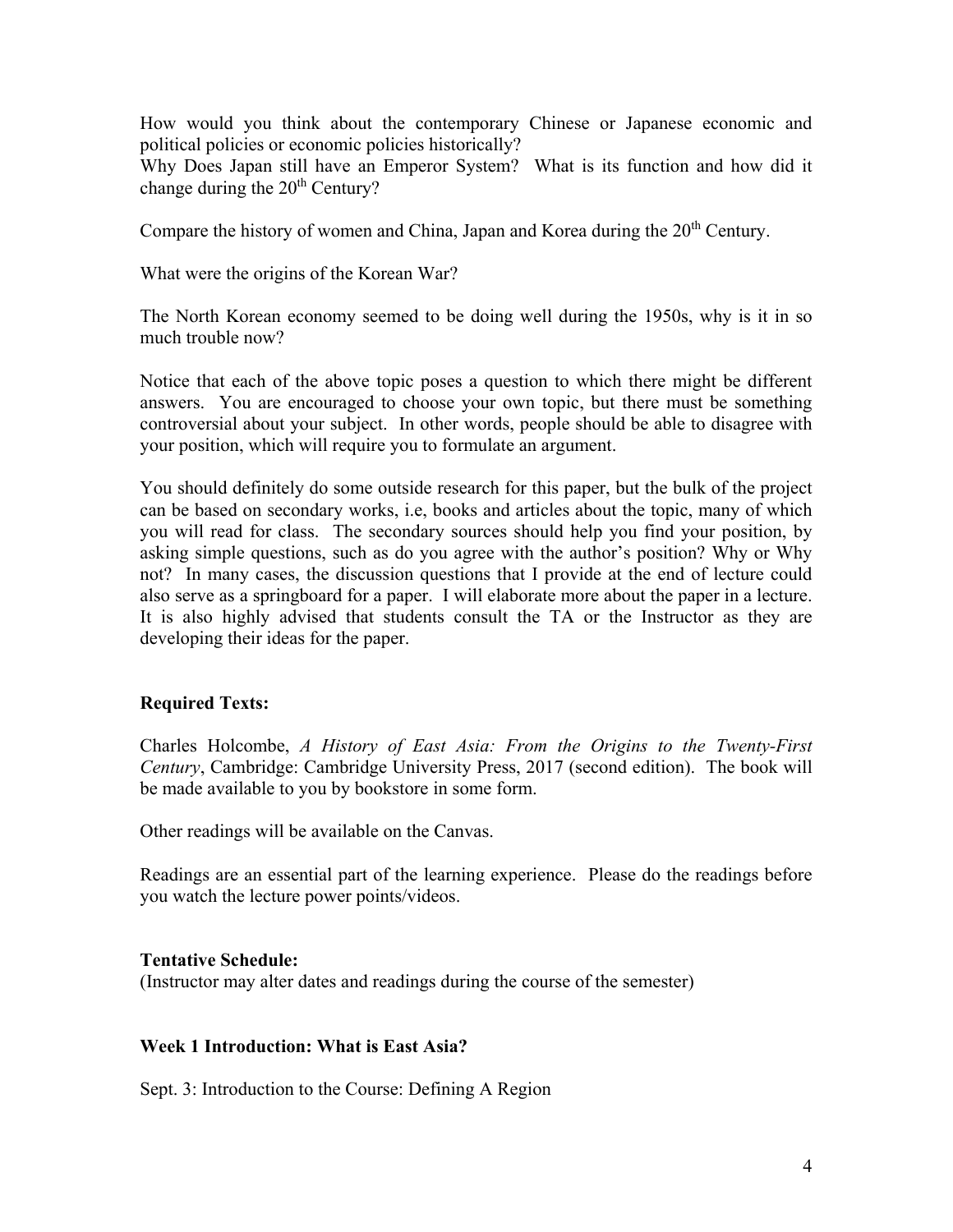How would you think about the contemporary Chinese or Japanese economic and political policies or economic policies historically?

Why Does Japan still have an Emperor System? What is its function and how did it change during the  $20<sup>th</sup>$  Century?

Compare the history of women and China, Japan and Korea during the  $20<sup>th</sup>$  Century.

What were the origins of the Korean War?

The North Korean economy seemed to be doing well during the 1950s, why is it in so much trouble now?

Notice that each of the above topic poses a question to which there might be different answers. You are encouraged to choose your own topic, but there must be something controversial about your subject. In other words, people should be able to disagree with your position, which will require you to formulate an argument.

You should definitely do some outside research for this paper, but the bulk of the project can be based on secondary works, i.e, books and articles about the topic, many of which you will read for class. The secondary sources should help you find your position, by asking simple questions, such as do you agree with the author's position? Why or Why not? In many cases, the discussion questions that I provide at the end of lecture could also serve as a springboard for a paper. I will elaborate more about the paper in a lecture. It is also highly advised that students consult the TA or the Instructor as they are developing their ideas for the paper.

## **Required Texts:**

Charles Holcombe, *A History of East Asia: From the Origins to the Twenty-First Century*, Cambridge: Cambridge University Press, 2017 (second edition). The book will be made available to you by bookstore in some form.

Other readings will be available on the Canvas.

Readings are an essential part of the learning experience. Please do the readings before you watch the lecture power points/videos.

### **Tentative Schedule:**

(Instructor may alter dates and readings during the course of the semester)

### **Week 1 Introduction: What is East Asia?**

Sept. 3: Introduction to the Course: Defining A Region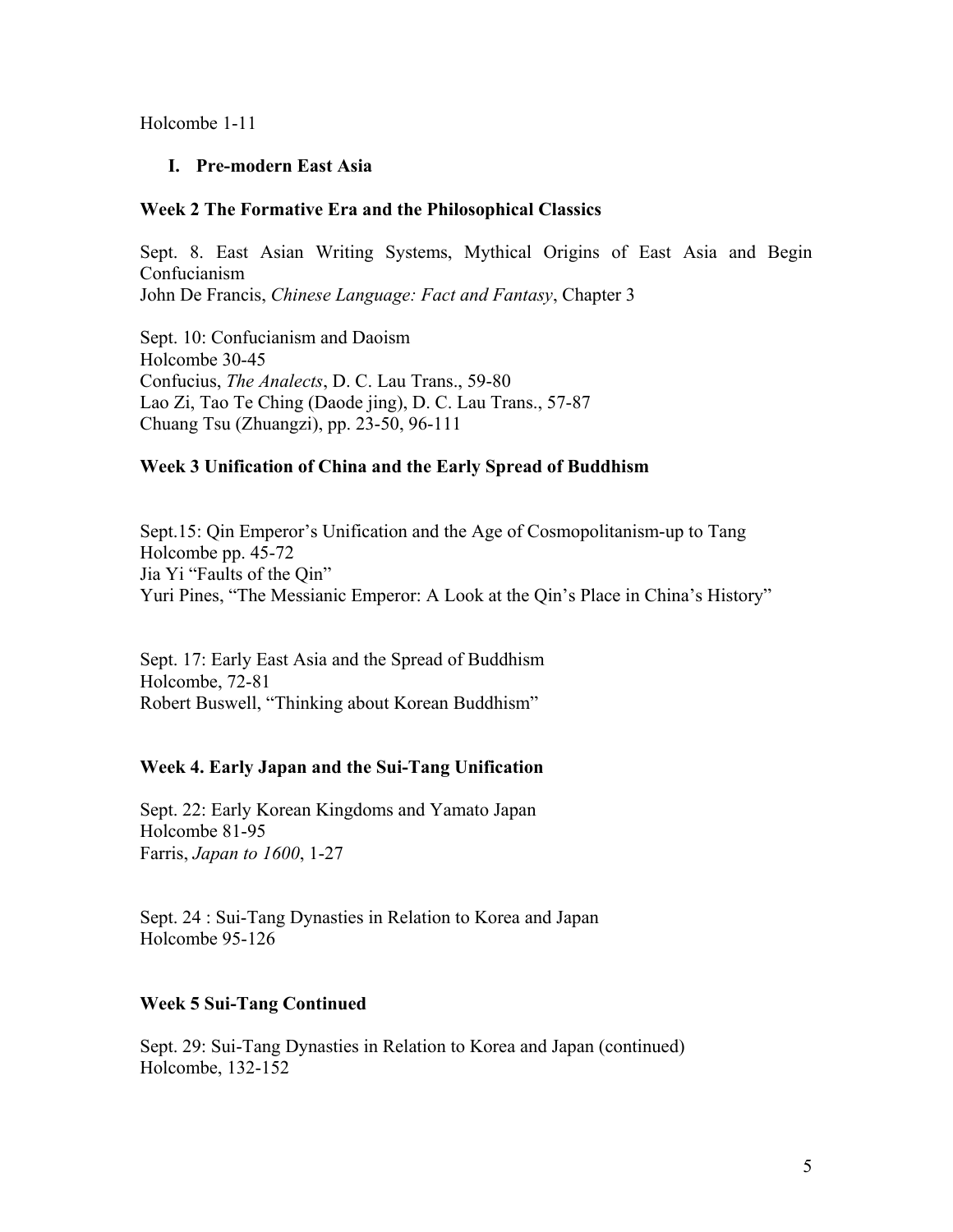Holcombe 1-11

### **I. Pre-modern East Asia**

#### **Week 2 The Formative Era and the Philosophical Classics**

Sept. 8. East Asian Writing Systems, Mythical Origins of East Asia and Begin Confucianism John De Francis, *Chinese Language: Fact and Fantasy*, Chapter 3

Sept. 10: Confucianism and Daoism Holcombe 30-45 Confucius, *The Analects*, D. C. Lau Trans., 59-80 Lao Zi, Tao Te Ching (Daode jing), D. C. Lau Trans., 57-87 Chuang Tsu (Zhuangzi), pp. 23-50, 96-111

### **Week 3 Unification of China and the Early Spread of Buddhism**

Sept.15: Qin Emperor's Unification and the Age of Cosmopolitanism-up to Tang Holcombe pp. 45-72 Jia Yi "Faults of the Qin" Yuri Pines, "The Messianic Emperor: A Look at the Qin's Place in China's History"

Sept. 17: Early East Asia and the Spread of Buddhism Holcombe, 72-81 Robert Buswell, "Thinking about Korean Buddhism"

### **Week 4. Early Japan and the Sui-Tang Unification**

Sept. 22: Early Korean Kingdoms and Yamato Japan Holcombe 81-95 Farris, *Japan to 1600*, 1-27

Sept. 24 : Sui-Tang Dynasties in Relation to Korea and Japan Holcombe 95-126

### **Week 5 Sui-Tang Continued**

Sept. 29: Sui-Tang Dynasties in Relation to Korea and Japan (continued) Holcombe, 132-152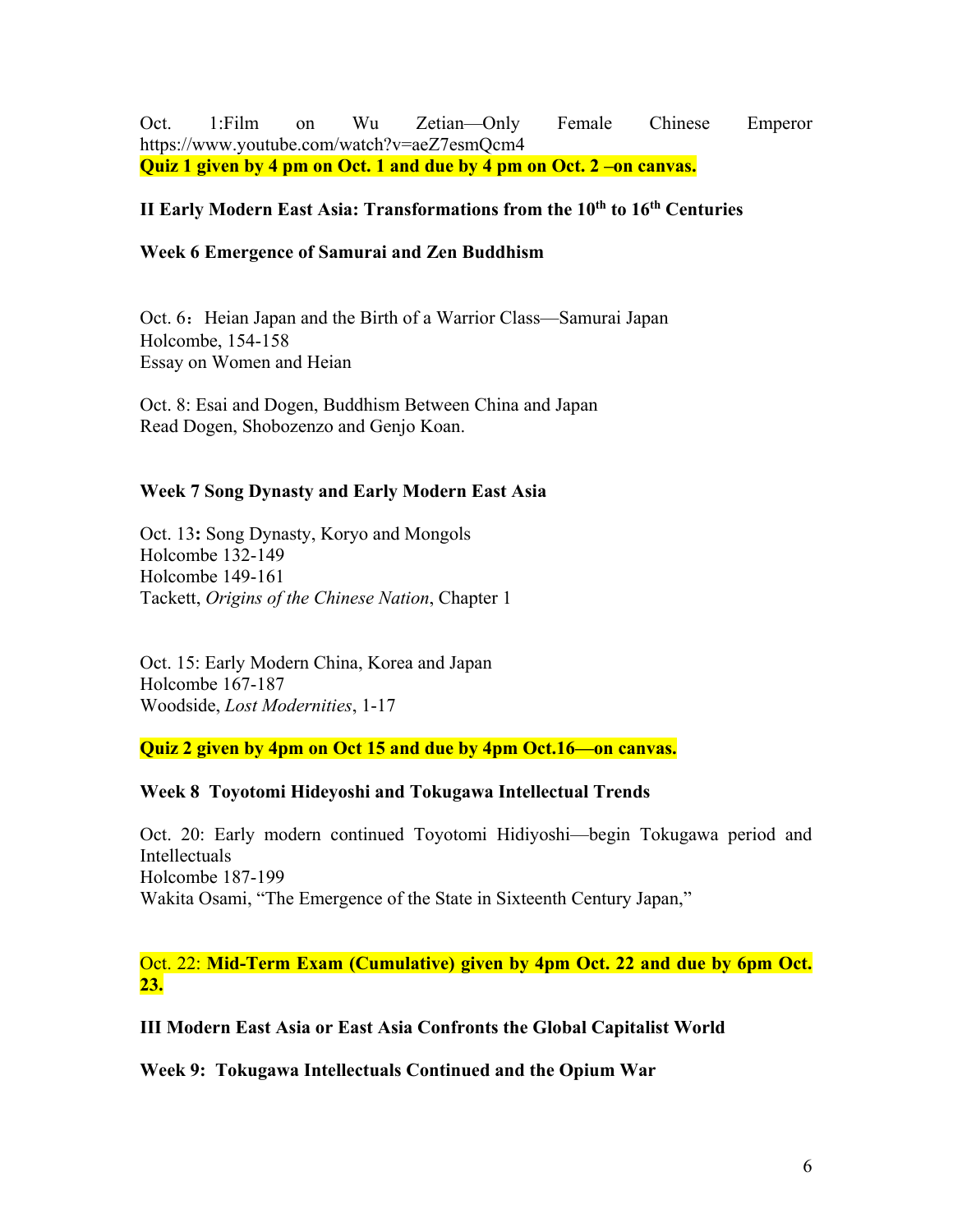Oct. 1:Film on Wu Zetian—Only Female Chinese Emperor https://www.youtube.com/watch?v=aeZ7esmQcm4 **Quiz 1 given by 4 pm on Oct. 1 and due by 4 pm on Oct. 2 –on canvas.** 

## **II Early Modern East Asia: Transformations from the 10th to 16th Centuries**

### **Week 6 Emergence of Samurai and Zen Buddhism**

Oct. 6: Heian Japan and the Birth of a Warrior Class—Samurai Japan Holcombe, 154-158 Essay on Women and Heian

Oct. 8: Esai and Dogen, Buddhism Between China and Japan Read Dogen, Shobozenzo and Genjo Koan.

### **Week 7 Song Dynasty and Early Modern East Asia**

Oct. 13**:** Song Dynasty, Koryo and Mongols Holcombe 132-149 Holcombe 149-161 Tackett, *Origins of the Chinese Nation*, Chapter 1

Oct. 15: Early Modern China, Korea and Japan Holcombe 167-187 Woodside, *Lost Modernities*, 1-17

**Quiz 2 given by 4pm on Oct 15 and due by 4pm Oct.16—on canvas.** 

### **Week 8 Toyotomi Hideyoshi and Tokugawa Intellectual Trends**

Oct. 20: Early modern continued Toyotomi Hidiyoshi—begin Tokugawa period and Intellectuals Holcombe 187-199 Wakita Osami, "The Emergence of the State in Sixteenth Century Japan,"

Oct. 22: **Mid-Term Exam (Cumulative) given by 4pm Oct. 22 and due by 6pm Oct. 23.** 

**III Modern East Asia or East Asia Confronts the Global Capitalist World** 

**Week 9: Tokugawa Intellectuals Continued and the Opium War**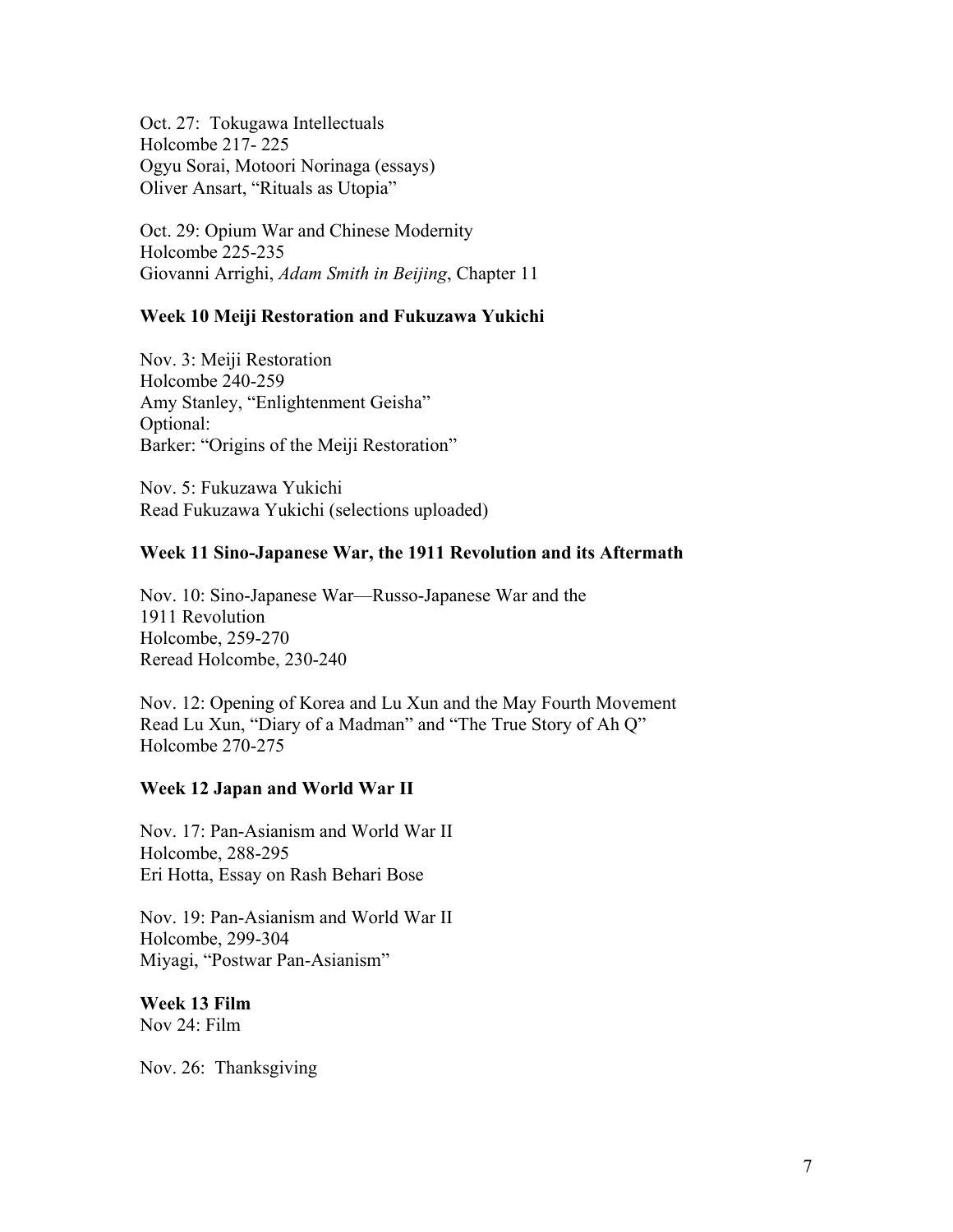Oct. 27: Tokugawa Intellectuals Holcombe 217- 225 Ogyu Sorai, Motoori Norinaga (essays) Oliver Ansart, "Rituals as Utopia"

Oct. 29: Opium War and Chinese Modernity Holcombe 225-235 Giovanni Arrighi, *Adam Smith in Beijing*, Chapter 11

### **Week 10 Meiji Restoration and Fukuzawa Yukichi**

Nov. 3: Meiji Restoration Holcombe 240-259 Amy Stanley, "Enlightenment Geisha" Optional: Barker: "Origins of the Meiji Restoration"

Nov. 5: Fukuzawa Yukichi Read Fukuzawa Yukichi (selections uploaded)

#### **Week 11 Sino-Japanese War, the 1911 Revolution and its Aftermath**

Nov. 10: Sino-Japanese War—Russo-Japanese War and the 1911 Revolution Holcombe, 259-270 Reread Holcombe, 230-240

Nov. 12: Opening of Korea and Lu Xun and the May Fourth Movement Read Lu Xun, "Diary of a Madman" and "The True Story of Ah Q" Holcombe 270-275

### **Week 12 Japan and World War II**

Nov. 17: Pan-Asianism and World War II Holcombe, 288-295 Eri Hotta, Essay on Rash Behari Bose

Nov. 19: Pan-Asianism and World War II Holcombe, 299-304 Miyagi, "Postwar Pan-Asianism"

**Week 13 Film**  Nov 24: Film

Nov. 26: Thanksgiving